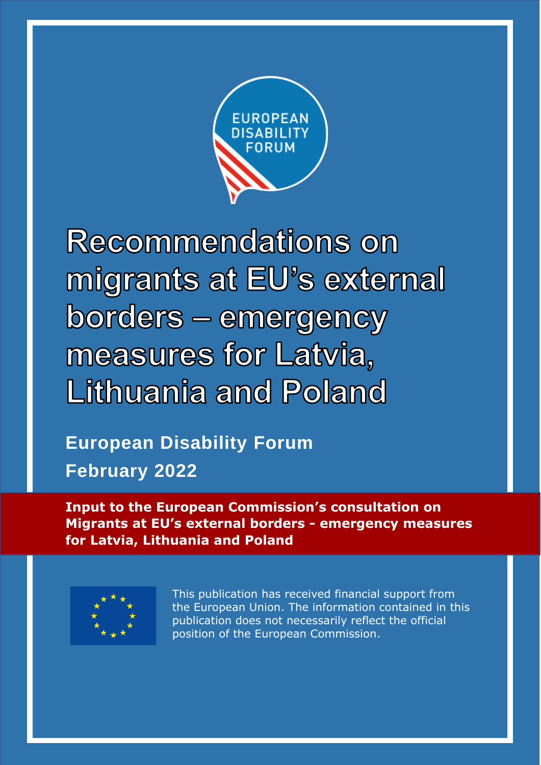

**Recommendations on** migrants at EU's external borders - emergency measures for Latvia, Lithuania and Poland

**European Disability Forum February 2022**

**Input to the European Commission's consultation on Migrants at EU's external borders - emergency measures for Latvia, Lithuania and Poland**



This publication has received financial support from the European Union. The information contained in this publication does not necessarily reflect the official position of the European Commission.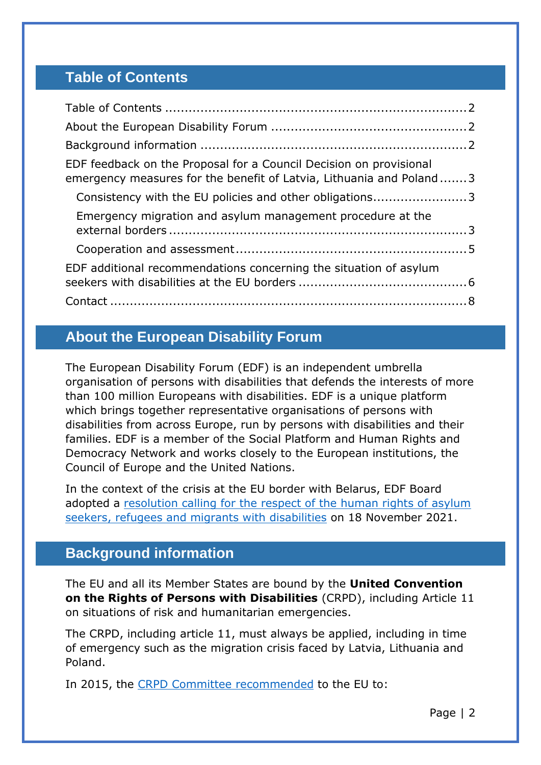# <span id="page-1-0"></span>**Table of Contents**

| EDF feedback on the Proposal for a Council Decision on provisional<br>emergency measures for the benefit of Latvia, Lithuania and Poland3 |  |
|-------------------------------------------------------------------------------------------------------------------------------------------|--|
| Consistency with the EU policies and other obligations3                                                                                   |  |
| Emergency migration and asylum management procedure at the                                                                                |  |
|                                                                                                                                           |  |
| EDF additional recommendations concerning the situation of asylum                                                                         |  |
|                                                                                                                                           |  |

# <span id="page-1-1"></span>**About the European Disability Forum**

The European Disability Forum (EDF) is an independent umbrella organisation of persons with disabilities that defends the interests of more than 100 million Europeans with disabilities. EDF is a unique platform which brings together representative organisations of persons with disabilities from across Europe, run by persons with disabilities and their families. EDF is a member of the Social Platform and Human Rights and Democracy Network and works closely to the European institutions, the Council of Europe and the United Nations.

In the context of the crisis at the EU border with Belarus, EDF Board adopted a [resolution calling for the respect of the human rights of asylum](https://www.edf-feph.org/content/uploads/2021/11/DOC-BOARD-21-11-12-EDF-Board-Resolution-on-the-Rights-of-Refugees-and-Migrants-with-Disabilities-November-2021.doc)  [seekers, refugees and migrants with disabilities](https://www.edf-feph.org/content/uploads/2021/11/DOC-BOARD-21-11-12-EDF-Board-Resolution-on-the-Rights-of-Refugees-and-Migrants-with-Disabilities-November-2021.doc) on 18 November 2021.

# <span id="page-1-2"></span>**Background information**

The EU and all its Member States are bound by the **United Convention on the Rights of Persons with Disabilities** (CRPD), including Article 11 on situations of risk and humanitarian emergencies.

The CRPD, including article 11, must always be applied, including in time of emergency such as the migration crisis faced by Latvia, Lithuania and Poland.

In 2015, the [CRPD Committee recommended](https://tbinternet.ohchr.org/_layouts/15/treatybodyexternal/Download.aspx?symbolno=CRPD%252FC%252FEU%252FCO%252F1) to the EU to: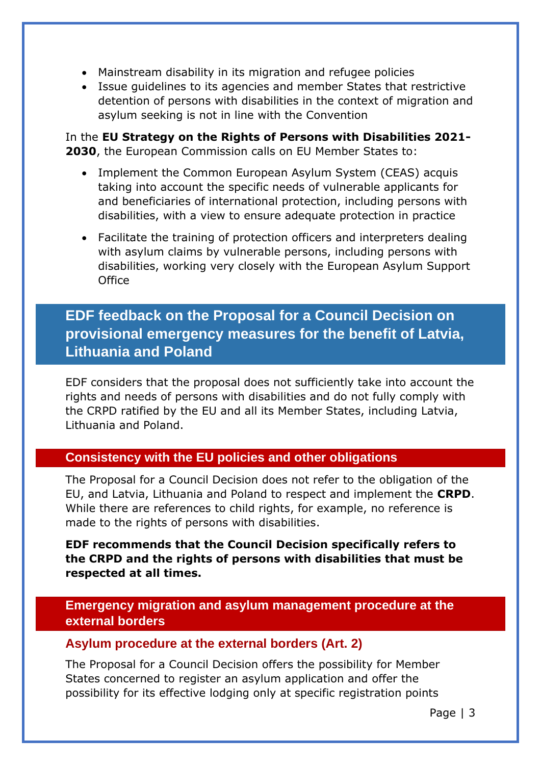- Mainstream disability in its migration and refugee policies
- Issue guidelines to its agencies and member States that restrictive detention of persons with disabilities in the context of migration and asylum seeking is not in line with the Convention

In the **EU Strategy on the Rights of Persons with Disabilities 2021- 2030**, the European Commission calls on EU Member States to:

- Implement the Common European Asylum System (CEAS) acquis taking into account the specific needs of vulnerable applicants for and beneficiaries of international protection, including persons with disabilities, with a view to ensure adequate protection in practice
- Facilitate the training of protection officers and interpreters dealing with asylum claims by vulnerable persons, including persons with disabilities, working very closely with the European Asylum Support **Office**

# <span id="page-2-0"></span>**EDF feedback on the Proposal for a Council Decision on provisional emergency measures for the benefit of Latvia, Lithuania and Poland**

EDF considers that the proposal does not sufficiently take into account the rights and needs of persons with disabilities and do not fully comply with the CRPD ratified by the EU and all its Member States, including Latvia, Lithuania and Poland.

### <span id="page-2-1"></span>**Consistency with the EU policies and other obligations**

The Proposal for a Council Decision does not refer to the obligation of the EU, and Latvia, Lithuania and Poland to respect and implement the **CRPD**. While there are references to child rights, for example, no reference is made to the rights of persons with disabilities.

#### **EDF recommends that the Council Decision specifically refers to the CRPD and the rights of persons with disabilities that must be respected at all times.**

<span id="page-2-2"></span>**Emergency migration and asylum management procedure at the external borders** 

#### **Asylum procedure at the external borders (Art. 2)**

The Proposal for a Council Decision offers the possibility for Member States concerned to register an asylum application and offer the possibility for its effective lodging only at specific registration points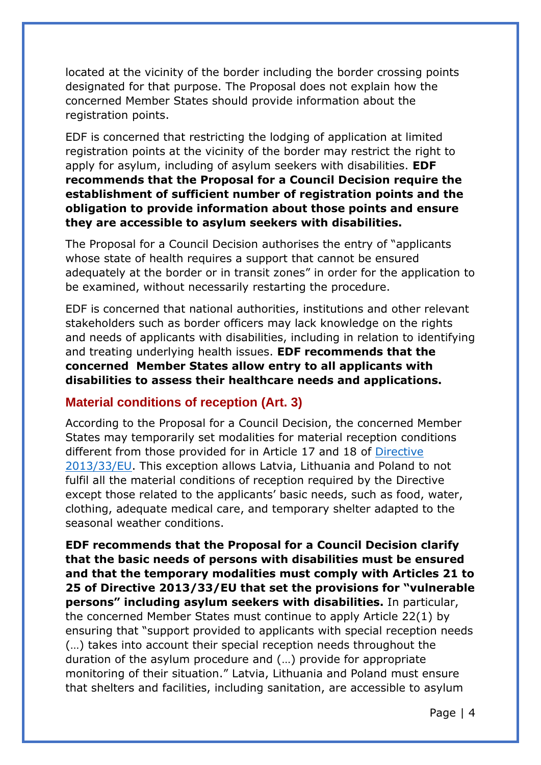located at the vicinity of the border including the border crossing points designated for that purpose. The Proposal does not explain how the concerned Member States should provide information about the registration points.

EDF is concerned that restricting the lodging of application at limited registration points at the vicinity of the border may restrict the right to apply for asylum, including of asylum seekers with disabilities. **EDF recommends that the Proposal for a Council Decision require the establishment of sufficient number of registration points and the obligation to provide information about those points and ensure they are accessible to asylum seekers with disabilities.**

The Proposal for a Council Decision authorises the entry of "applicants whose state of health requires a support that cannot be ensured adequately at the border or in transit zones" in order for the application to be examined, without necessarily restarting the procedure.

EDF is concerned that national authorities, institutions and other relevant stakeholders such as border officers may lack knowledge on the rights and needs of applicants with disabilities, including in relation to identifying and treating underlying health issues. **EDF recommends that the concerned Member States allow entry to all applicants with disabilities to assess their healthcare needs and applications.** 

#### **Material conditions of reception (Art. 3)**

According to the Proposal for a Council Decision, the concerned Member States may temporarily set modalities for material reception conditions different from those provided for in Article 17 and 18 of [Directive](https://eur-lex.europa.eu/legal-content/EN/TXT/HTML/?uri=CELEX:32013L0033&from=FR)  [2013/33/EU.](https://eur-lex.europa.eu/legal-content/EN/TXT/HTML/?uri=CELEX:32013L0033&from=FR) This exception allows Latvia, Lithuania and Poland to not fulfil all the material conditions of reception required by the Directive except those related to the applicants' basic needs, such as food, water, clothing, adequate medical care, and temporary shelter adapted to the seasonal weather conditions.

**EDF recommends that the Proposal for a Council Decision clarify that the basic needs of persons with disabilities must be ensured and that the temporary modalities must comply with Articles 21 to 25 of Directive 2013/33/EU that set the provisions for "vulnerable persons" including asylum seekers with disabilities.** In particular, the concerned Member States must continue to apply Article 22(1) by ensuring that "support provided to applicants with special reception needs (…) takes into account their special reception needs throughout the duration of the asylum procedure and (…) provide for appropriate monitoring of their situation." Latvia, Lithuania and Poland must ensure that shelters and facilities, including sanitation, are accessible to asylum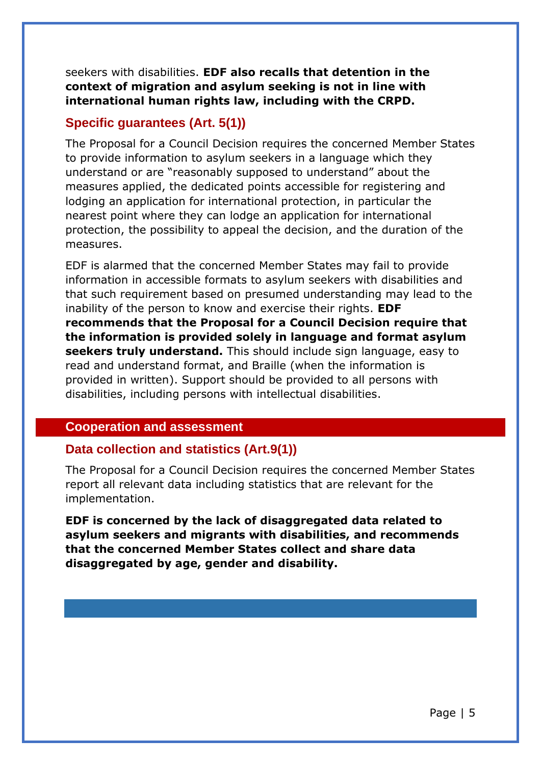seekers with disabilities. **EDF also recalls that detention in the context of migration and asylum seeking is not in line with international human rights law, including with the CRPD.**

#### **Specific guarantees (Art. 5(1))**

The Proposal for a Council Decision requires the concerned Member States to provide information to asylum seekers in a language which they understand or are "reasonably supposed to understand" about the measures applied, the dedicated points accessible for registering and lodging an application for international protection, in particular the nearest point where they can lodge an application for international protection, the possibility to appeal the decision, and the duration of the measures.

EDF is alarmed that the concerned Member States may fail to provide information in accessible formats to asylum seekers with disabilities and that such requirement based on presumed understanding may lead to the inability of the person to know and exercise their rights. **EDF recommends that the Proposal for a Council Decision require that the information is provided solely in language and format asylum seekers truly understand.** This should include sign language, easy to read and understand format, and Braille (when the information is provided in written). Support should be provided to all persons with disabilities, including persons with intellectual disabilities.

#### <span id="page-4-0"></span>**Cooperation and assessment**

#### **Data collection and statistics (Art.9(1))**

The Proposal for a Council Decision requires the concerned Member States report all relevant data including statistics that are relevant for the implementation.

**EDF is concerned by the lack of disaggregated data related to asylum seekers and migrants with disabilities, and recommends that the concerned Member States collect and share data disaggregated by age, gender and disability.**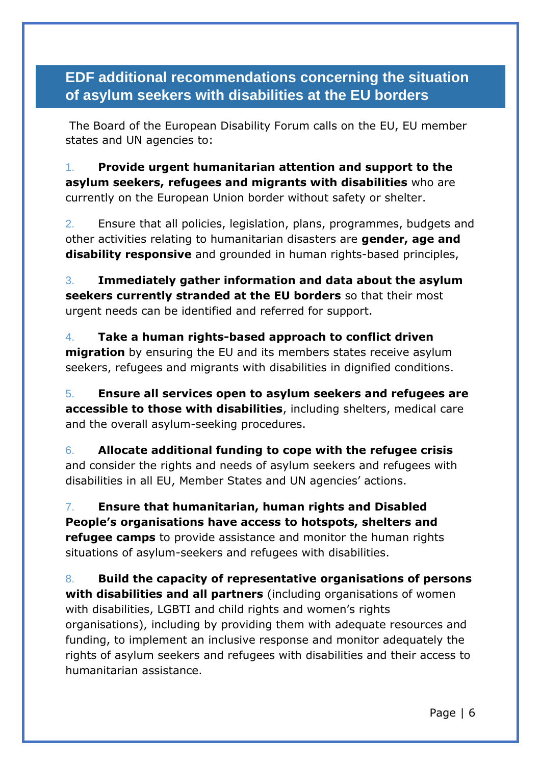<span id="page-5-0"></span>**EDF additional recommendations concerning the situation of asylum seekers with disabilities at the EU borders** 

The Board of the European Disability Forum calls on the EU, EU member states and UN agencies to:

1. **Provide urgent humanitarian attention and support to the asylum seekers, refugees and migrants with disabilities** who are currently on the European Union border without safety or shelter.

2. Ensure that all policies, legislation, plans, programmes, budgets and other activities relating to humanitarian disasters are **gender, age and disability responsive** and grounded in human rights-based principles,

3. **Immediately gather information and data about the asylum seekers currently stranded at the EU borders** so that their most urgent needs can be identified and referred for support.

4. **Take a human rights-based approach to conflict driven migration** by ensuring the EU and its members states receive asylum seekers, refugees and migrants with disabilities in dignified conditions.

5. **Ensure all services open to asylum seekers and refugees are accessible to those with disabilities**, including shelters, medical care and the overall asylum-seeking procedures.

6. **Allocate additional funding to cope with the refugee crisis** and consider the rights and needs of asylum seekers and refugees with disabilities in all EU, Member States and UN agencies' actions.

7. **Ensure that humanitarian, human rights and Disabled People's organisations have access to hotspots, shelters and refugee camps** to provide assistance and monitor the human rights situations of asylum-seekers and refugees with disabilities.

8. **Build the capacity of representative organisations of persons with disabilities and all partners** (including organisations of women with disabilities, LGBTI and child rights and women's rights organisations), including by providing them with adequate resources and funding, to implement an inclusive response and monitor adequately the rights of asylum seekers and refugees with disabilities and their access to humanitarian assistance.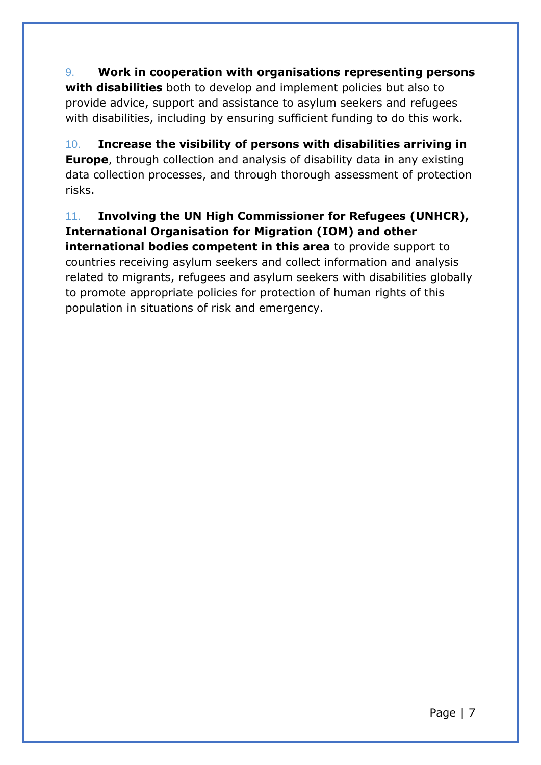9. **Work in cooperation with organisations representing persons with disabilities** both to develop and implement policies but also to provide advice, support and assistance to asylum seekers and refugees with disabilities, including by ensuring sufficient funding to do this work.

10. **Increase the visibility of persons with disabilities arriving in Europe**, through collection and analysis of disability data in any existing data collection processes, and through thorough assessment of protection risks.

11. **Involving the UN High Commissioner for Refugees (UNHCR), International Organisation for Migration (IOM) and other international bodies competent in this area** to provide support to countries receiving asylum seekers and collect information and analysis related to migrants, refugees and asylum seekers with disabilities globally to promote appropriate policies for protection of human rights of this population in situations of risk and emergency.